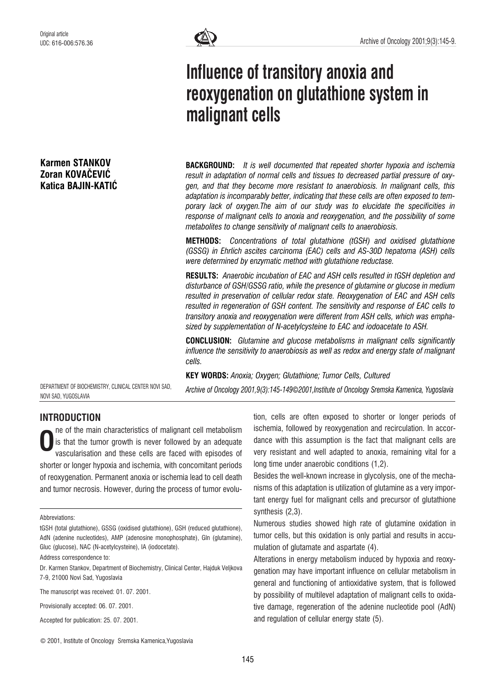# Karmen STANKOV Zoran KOVAČEVIĆ Katica BAJIN-KATIĆ



# Influence of transitory anoxia and reoxygenation on glutathione system in malignant cells

**BACKGROUND:** It is well documented that repeated shorter hypoxia and ischemia result in adaptation of normal cells and tissues to decreased partial pressure of oxygen, and that they become more resistant to anaerobiosis. In malignant cells, this adaptation is incomparably better, indicating that these cells are often exposed to temporary lack of oxygen.The aim of our study was to elucidate the specificities in response of malignant cells to anoxia and reoxygenation, and the possibility of some metabolites to change sensitivity of malignant cells to anaerobiosis.

METHODS: Concentrations of total glutathione (tGSH) and oxidised glutathione (GSSG) in Ehrlich ascites carcinoma (EAC) cells and AS-30D hepatoma (ASH) cells were determined by enzymatic method with glutathione reductase.

RESULTS: Anaerobic incubation of EAC and ASH cells resulted in tGSH depletion and disturbance of GSH/GSSG ratio, while the presence of glutamine or glucose in medium resulted in preservation of cellular redox state. Reoxygenation of EAC and ASH cells resulted in regeneration of GSH content. The sensitivity and response of EAC cells to transitory anoxia and reoxygenation were different from ASH cells, which was emphasized by supplementation of N-acetylcysteine to EAC and iodoacetate to ASH.

CONCLUSION: Glutamine and glucose metabolisms in malignant cells significantly influence the sensitivity to anaerobiosis as well as redox and energy state of malignant cells.

KEY WORDS: Anoxia; Oxygen; Glutathione; Tumor Cells, Cultured

DEPARTMENT OF BIOCHEMISTRY, CLINICAL CENTER NOVI SAD, NOVI SAD, YUGOSLAVIA

Archive of Oncology 2001,9(3):145-149*©*2001,Institute of Oncology Sremska Kamenica, Yugoslavia

# INTRODUCTION

ne of the main characteristics of malignant cell metabolism is that the tumor growth is never followed by an adequate vascularisation and these cells are faced with episodes of shorter or longer hypoxia and ischemia, with concomitant periods of reoxygenation. Permanent anoxia or ischemia lead to cell death and tumor necrosis. However, during the process of tumor evolu-O

Besides the well-known increase in glycolysis, one of the mechanisms of this adaptation is utilization of glutamine as a very important energy fuel for malignant cells and precursor of glutathione synthesis (2,3).

Numerous studies showed high rate of glutamine oxidation in tumor cells, but this oxidation is only partial and results in accumulation of glutamate and aspartate (4).

Alterations in energy metabolism induced by hypoxia and reoxygenation may have important influence on cellular metabolism in general and functioning of antioxidative system, that is followed by possibility of multilevel adaptation of malignant cells to oxidative damage, regeneration of the adenine nucleotide pool (AdN) and regulation of cellular energy state (5).

Abbreviations:

tGSH (total glutathione), GSSG (oxidised glutathione), GSH (reduced glutathione), AdN (adenine nucleotides), AMP (adenosine monophosphate), Gln (glutamine), Gluc (glucose), NAC (N-acetylcysteine), IA (iodocetate).

Address correspondence to:

Dr. Karmen Stankov, Department of Biochemistry, Clinical Center, Hajduk Veljkova 7-9, 21000 Novi Sad, Yugoslavia

The manuscript was received: 01. 07. 2001.

Provisionally accepted: 06. 07. 2001.

Accepted for publication: 25. 07. 2001.

tion, cells are often exposed to shorter or longer periods of ischemia, followed by reoxygenation and recirculation. In accordance with this assumption is the fact that malignant cells are very resistant and well adapted to anoxia, remaining vital for a long time under anaerobic conditions (1,2).

<sup>©</sup> 2001, Institute of Oncology Sremska Kamenica,Yugoslavia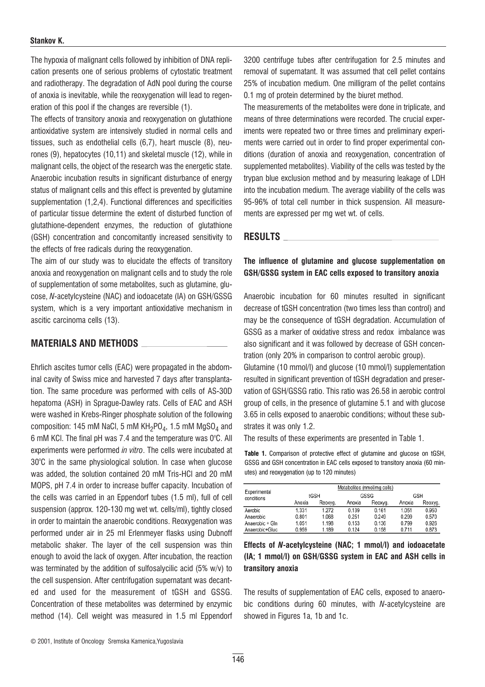#### Stankov K.

The hypoxia of malignant cells followed by inhibition of DNA replication presents one of serious problems of cytostatic treatment and radiotherapy. The degradation of AdN pool during the course of anoxia is inevitable, while the reoxygenation will lead to regeneration of this pool if the changes are reversible (1).

The effects of transitory anoxia and reoxygenation on glutathione antioxidative system are intensively studied in normal cells and tissues, such as endothelial cells (6,7), heart muscle (8), neurones (9), hepatocytes (10,11) and skeletal muscle (12), while in malignant cells, the object of the research was the energetic state. Anaerobic incubation results in significant disturbance of energy status of malignant cells and this effect is prevented by glutamine supplementation (1,2,4). Functional differences and specificities of particular tissue determine the extent of disturbed function of glutathione-dependent enzymes, the reduction of glutathione (GSH) concentration and concomitantly increased sensitivity to the effects of free radicals during the reoxygenation.

The aim of our study was to elucidate the effects of transitory anoxia and reoxygenation on malignant cells and to study the role of supplementation of some metabolites, such as glutamine, glucose, N-acetylcysteine (NAC) and iodoacetate (IA) on GSH/GSSG system, which is a very important antioxidative mechanism in ascitic carcinoma cells (13).

### MATERIALS AND METHODS

Ehrlich ascites tumor cells (EAC) were propagated in the abdominal cavity of Swiss mice and harvested 7 days after transplantation. The same procedure was performed with cells of AS-30D hepatoma (ASH) in Sprague-Dawley rats. Cells of EAC and ASH were washed in Krebs-Ringer phosphate solution of the following composition: 145 mM NaCl, 5 mM  $KH<sub>2</sub>PO<sub>4</sub>$ , 1.5 mM  $MgSO<sub>4</sub>$  and 6 mM KCI. The final pH was 7.4 and the temperature was  $0^{\circ}$ C. All experiments were performed in vitro. The cells were incubated at 30°C in the same physiological solution. In case when glucose was added, the solution contained 20 mM Tris-HCl and 20 mM MOPS, pH 7.4 in order to increase buffer capacity. Incubation of the cells was carried in an Eppendorf tubes (1.5 ml), full of cell suspension (approx. 120-130 mg wet wt. cells/ml), tightly closed in order to maintain the anaerobic conditions. Reoxygenation was performed under air in 25 ml Erlenmeyer flasks using Dubnoff metabolic shaker. The layer of the cell suspension was thin enough to avoid the lack of oxygen. After incubation, the reaction was terminated by the addition of sulfosalycilic acid (5% w/v) to the cell suspension. After centrifugation supernatant was decanted and used for the measurement of tGSH and GSSG. Concentration of these metabolites was determined by enzymic method (14). Cell weight was measured in 1.5 ml Eppendorf

3200 centrifuge tubes after centrifugation for 2.5 minutes and removal of supernatant. It was assumed that cell pellet contains 25% of incubation medium. One milligram of the pellet contains 0.1 mg of protein determined by the biuret method.

The measurements of the metabolites were done in triplicate, and means of three determinations were recorded. The crucial experiments were repeated two or three times and preliminary experiments were carried out in order to find proper experimental conditions (duration of anoxia and reoxygenation, concentration of supplemented metabolites). Viability of the cells was tested by the trypan blue exclusion method and by measuring leakage of LDH into the incubation medium. The average viability of the cells was 95-96% of total cell number in thick suspension. All measurements are expressed per mg wet wt. of cells.

#### RESULTS

#### The influence of glutamine and glucose supplementation on GSH/GSSG system in EAC cells exposed to transitory anoxia

Anaerobic incubation for 60 minutes resulted in significant decrease of tGSH concentration (two times less than control) and may be the consequence of tGSH degradation. Accumulation of GSSG as a marker of oxidative stress and redox imbalance was also significant and it was followed by decrease of GSH concentration (only 20% in comparison to control aerobic group).

Glutamine (10 mmol/l) and glucose (10 mmol/l) supplementation resulted in significant prevention of tGSH degradation and preservation of GSH/GSSG ratio. This ratio was 26.58 in aerobic control group of cells, in the presence of glutamine 5.1 and with glucose 3.65 in cells exposed to anaerobic conditions; without these substrates it was only 1.2.

The results of these experiments are presented in Table 1.

Table 1. Comparison of protective effect of glutamine and glucose on tGSH, GSSG and GSH concentration in EAC cells exposed to transitory anoxia (60 minutes) and reoxygenation (up to 120 minutes)

| Experimental<br>conditions | Metabolites (nmol/mg cells) |         |        |         |            |         |
|----------------------------|-----------------------------|---------|--------|---------|------------|---------|
|                            | tGSH                        |         | GSSG   |         | <b>GSH</b> |         |
|                            | Anoxia                      | Reoxyg. | Anoxia | Reoxyg. | Anoxia     | Reoxyg. |
| Aerobic                    | 1.331                       | 1.272   | 0.139  | 0.161   | 1.051      | 0.950   |
| Anaerobic                  | 0.801                       | 1.068   | 0.251  | 0.249   | 0.299      | 0.570   |
| Anaerobic + Gln            | 1.051                       | 1.198   | 0.153  | 0.136   | 0.799      | 0.926   |
| Anaerobic+Gluc             | 0.959                       | 1.189   | 0.124  | 0.158   | 0.711      | 0.873   |

#### Effects of N-acetylcysteine (NAC; 1 mmol/l) and iodoacetate (IA; 1 mmol/l) on GSH/GSSG system in EAC and ASH cells in transitory anoxia

The results of supplementation of EAC cells, exposed to anaerobic conditions during 60 minutes, with N-acetylcysteine are showed in Figures 1a, 1b and 1c.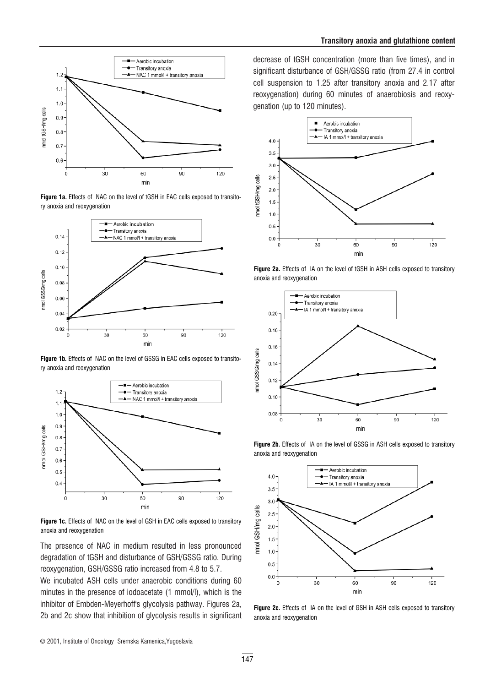





Figure 1b. Effects of NAC on the level of GSSG in EAC cells exposed to transitory anoxia and reoxygenation



Figure 1c. Effects of NAC on the level of GSH in EAC cells exposed to transitory anoxia and reoxygenation

The presence of NAC in medium resulted in less pronounced degradation of tGSH and disturbance of GSH/GSSG ratio. During reoxygenation, GSH/GSSG ratio increased from 4.8 to 5.7.

We incubated ASH cells under anaerobic conditions during 60 minutes in the presence of iodoacetate (1 mmol/l), which is the inhibitor of Embden-Meverhoff's glycolysis pathway. Figures 2a, 2b and 2c show that inhibition of glycolysis results in significant

decrease of tGSH concentration (more than five times), and in significant disturbance of GSH/GSSG ratio (from 27.4 in control cell suspension to 1.25 after transitory anoxia and 2.17 after reoxygenation) during 60 minutes of anaerobiosis and reoxygenation (up to 120 minutes).











Figure 2c. Effects of IA on the level of GSH in ASH cells exposed to transitory anoxia and reoxygenation

© 2001, Institute of Oncology Sremska Kamenica,Yugoslavia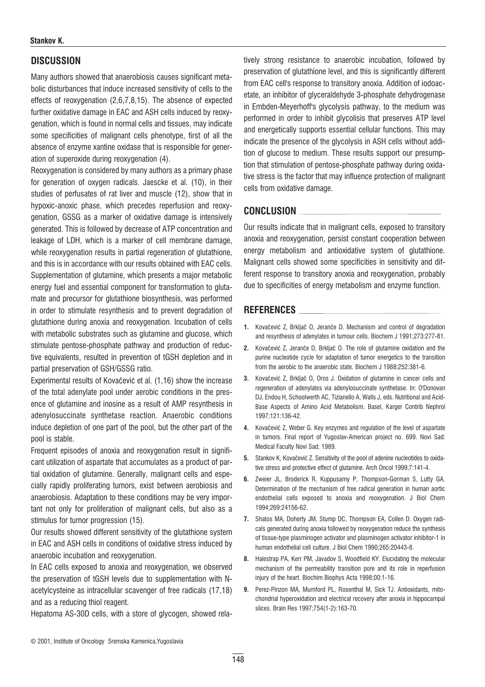# **DISCUSSION**

Many authors showed that anaerobiosis causes significant metabolic disturbances that induce increased sensitivity of cells to the effects of reoxygenation (2,6,7,8,15). The absence of expected further oxidative damage in EAC and ASH cells induced by reoxygenation, which is found in normal cells and tissues, may indicate some specificities of malignant cells phenotype, first of all the absence of enzyme xantine oxidase that is responsible for generation of superoxide during reoxygenation (4).

Reoxygenation is considered by many authors as a primary phase for generation of oxygen radicals. Jaescke et al. (10), in their studies of perfusates of rat liver and muscle (12), show that in hypoxic-anoxic phase, which precedes reperfusion and reoxygenation, GSSG as a marker of oxidative damage is intensively generated. This is followed by decrease of ATP concentration and leakage of LDH, which is a marker of cell membrane damage, while reoxygenation results in partial regeneration of glutathione, and this is in accordance with our results obtained with EAC cells. Supplementation of glutamine, which presents a major metabolic energy fuel and essential component for transformation to glutamate and precursor for glutathione biosynthesis, was performed in order to stimulate resynthesis and to prevent degradation of glutathione during anoxia and reoxygenation. Incubation of cells with metabolic substrates such as glutamine and glucose, which stimulate pentose-phosphate pathway and production of reductive equivalents, resulted in prevention of tGSH depletion and in partial preservation of GSH/GSSG ratio.

Experimental results of Kovačević et al. (1,16) show the increase of the total adenylate pool under aerobic conditions in the presence of glutamine and inosine as a result of AMP resynthesis in adenylosuccinate synthetase reaction. Anaerobic conditions induce depletion of one part of the pool, but the other part of the pool is stable.

Frequent episodes of anoxia and reoxygenation result in significant utilization of aspartate that accumulates as a product of partial oxidation of glutamine. Generally, malignant cells and especially rapidly proliferating tumors, exist between aerobiosis and anaerobiosis. Adaptation to these conditions may be very important not only for proliferation of malignant cells, but also as a stimulus for tumor progression (15).

Our results showed different sensitivity of the glutathione system in EAC and ASH cells in conditions of oxidative stress induced by anaerobic incubation and reoxygenation.

In EAC cells exposed to anoxia and reoxygenation, we observed the preservation of tGSH levels due to supplementation with Nacetylcysteine as intracellular scavenger of free radicals (17,18) and as a reducing thiol reagent.

Hepatoma AS-30D cells, with a store of glycogen, showed rela-

tively strong resistance to anaerobic incubation, followed by preservation of glutathione level, and this is significantly different from EAC cell's response to transitory anoxia. Addition of iodoacetate, an inhibitor of glyceraldehyde 3-phosphate dehydrogenase in Embden-Meyerhoff's glycolysis pathway, to the medium was performed in order to inhibit glycolisis that preserves ATP level and energetically supports essential cellular functions. This may indicate the presence of the glycolysis in ASH cells without addition of glucose to medium. These results support our presumption that stimulation of pentose-phosphate pathway during oxidative stress is the factor that may influence protection of malignant cells from oxidative damage.

# CONCLUSION

Our results indicate that in malignant cells, exposed to transitory anoxia and reoxygenation, persist constant cooperation between energy metabolism and antioxidative system of glutathione. Malignant cells showed some specificities in sensitivity and different response to transitory anoxia and reoxygenation, probably due to specificities of energy metabolism and enzyme function.

# REFERENCES

- 1. Kovačević Z, Brkliač O, Jeranče D, Mechanism and control of degradation and resynthesis of adenylates in tumour cells. Biochem J 1991;273:277-81.
- 2. Kovačević Z, Jeranče D, Brkljač O. The role of glutamine oxidation and the purine nucleotide cycle for adaptation of tumor energetics to the transition from the aerobic to the anaerobic state. Biochem J 1988;252:381-6.
- 3. Kovačević Z, Brkljač O, Oros J. Oxidation of glutamine in cancer cells and regeneration of adenylates via adenylosuccinate synthetase. In: O'Donovan DJ, Endou H, Schoolwerth AC, Tizianello A, Walls J, eds. Nutritional and Acid-Base Aspects of Amino Acid Metabolism. Basel, Karger Contrib Nephrol 1997;121:136-42.
- 4. Kovačević Z, Weber G. Key enzymes and regulation of the level of aspartate in tumors. Final report of Yugoslav-American project no. 699. Novi Sad: Medical Faculty Novi Sad; 1989.
- 5. Stankov K, Kovačević Z. Sensitivity of the pool of adenine nucleotides to oxidative stress and protective effect of glutamine. Arch Oncol 1999;7:141-4.
- 6. Zweier JL, Broderick R, Kuppusamy P, Thompson-Gorman S, Lutty GA. Determination of the mechanism of free radical generation in human aortic endothelial cells exposed to anoxia and reoxygenation. J Biol Chem 1994;269:24156-62.
- 7. Shatos MA, Doherty JM, Stump DC, Thompson EA, Collen D. Oxygen radicals generated during anoxia followed by reoxygenation reduce the synthesis of tissue-type plasminogen activator and plasminogen activator inhibitor-1 in human endothelial cell culture. J Biol Chem 1990;265:20443-8.
- 8. Halestrap PA, Kerr PM, Javadov S, Woodfield KY, Flucidating the molecular mechanism of the permeability transition pore and its role in reperfusion injury of the heart. Biochim Biophys Acta 1998;00:1-16.
- 9. Perez-Pinzon MA, Mumford PL, Rosenthal M, Sick TJ. Antioxidants, mitochondrial hyperoxidation and electrical recovery after anoxia in hippocampal slices. Brain Res 1997;754(1-2):163-70.